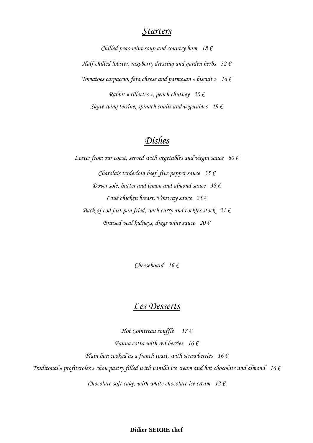#### *Starters*

*Chilled peas-mint soup and country ham 18 € Half chilled lobster, raspberry dressing and garden herbs 32 € Tomatoes carpaccio, feta cheese and parmesan « biscuit » 16 € Rabbit « rillettes », peach chutney 20 € Skate wing terrine, spinach coulis and vegetables 19 €*

# *Dishes*

*Loster from our coast, served with vegetables and virgin sauce*  $60 \text{ } \in$ *Charolais terderloin beef, five pepper sauce 35 € Dover sole, butter and lemon and almond sauce 38 € Loué chicken breast, Vouvray sauce 25 € Back of cod just pan fried, with curry and cockles stock 21 € Braised veal kidneys, dregs wine sauce 20 €*

*Cheeseboard 16 €* 

### *Les Desserts*

*Hot Cointreau soufflé 17 € Panna cotta with red berries 16 € Plain bun cooked as a french toast, with strawberries 16 € Traditonal « profiteroles » chou pastry filled with vanilla ice cream and hot chocolate and almond 16 € Chocolate soft cake, wirh white chocolate ice cream 12 €*

**Didier SERRE chef**